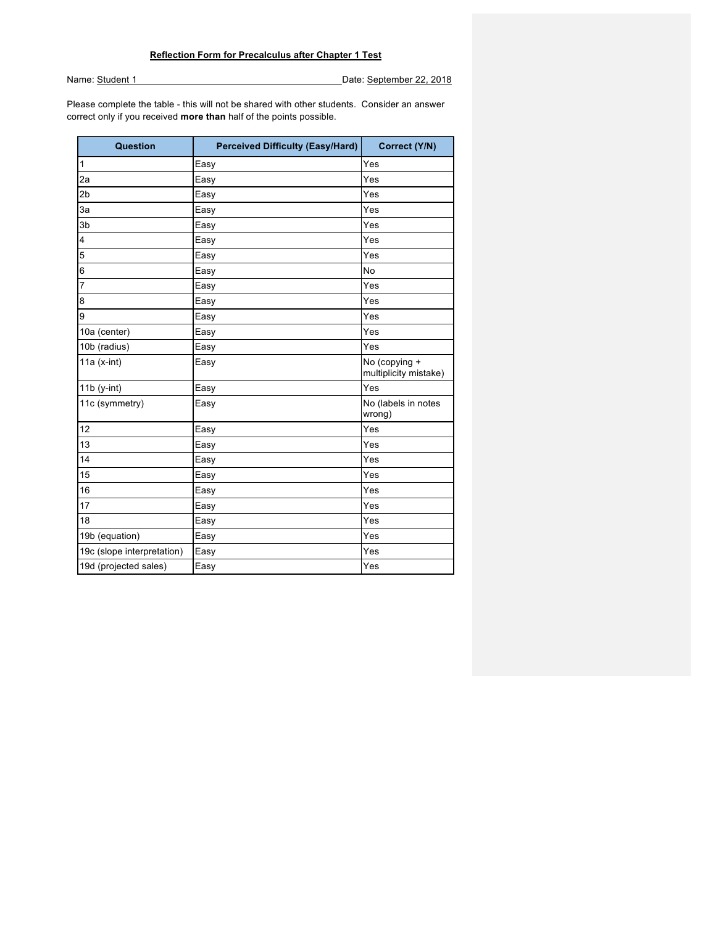Name: Student 1 Date: September 22, 2018

Please complete the table - this will not be shared with other students. Consider an answer correct only if you received **more than** half of the points possible.

| Question                   | <b>Perceived Difficulty (Easy/Hard)</b> | Correct (Y/N)                          |
|----------------------------|-----------------------------------------|----------------------------------------|
| 1                          | Easy                                    | Yes                                    |
| 2a                         | Easy                                    | Yes                                    |
| 2 <sub>b</sub>             | Easy                                    | Yes                                    |
| 3a                         | Easy                                    | Yes                                    |
| 3b                         | Easy                                    | Yes                                    |
| $\overline{4}$             | Easy                                    | Yes                                    |
| 5                          | Easy                                    | Yes                                    |
| 6                          | Easy                                    | <b>No</b>                              |
| 7                          | Easy                                    | Yes                                    |
| 8                          | Easy                                    | Yes                                    |
| 9                          | Easy                                    | Yes                                    |
| 10a (center)               | Easy                                    | Yes                                    |
| 10b (radius)               | Easy                                    | Yes                                    |
| 11a $(x-int)$              | Easy                                    | No (copying +<br>multiplicity mistake) |
| $11b$ (y-int)              | Easy                                    | Yes                                    |
| 11c (symmetry)             | Easy                                    | No (labels in notes<br>wrong)          |
| 12                         | Easy                                    | Yes                                    |
| 13                         | Easy                                    | Yes                                    |
| 14                         | Easy                                    | Yes                                    |
| 15                         | Easy                                    | Yes                                    |
| 16                         | Easy                                    | Yes                                    |
| 17                         | Easy                                    | Yes                                    |
| 18                         | Easy                                    | Yes                                    |
| 19b (equation)             | Easy                                    | Yes                                    |
| 19c (slope interpretation) | Easy                                    | Yes                                    |
| 19d (projected sales)      | Easy                                    | Yes                                    |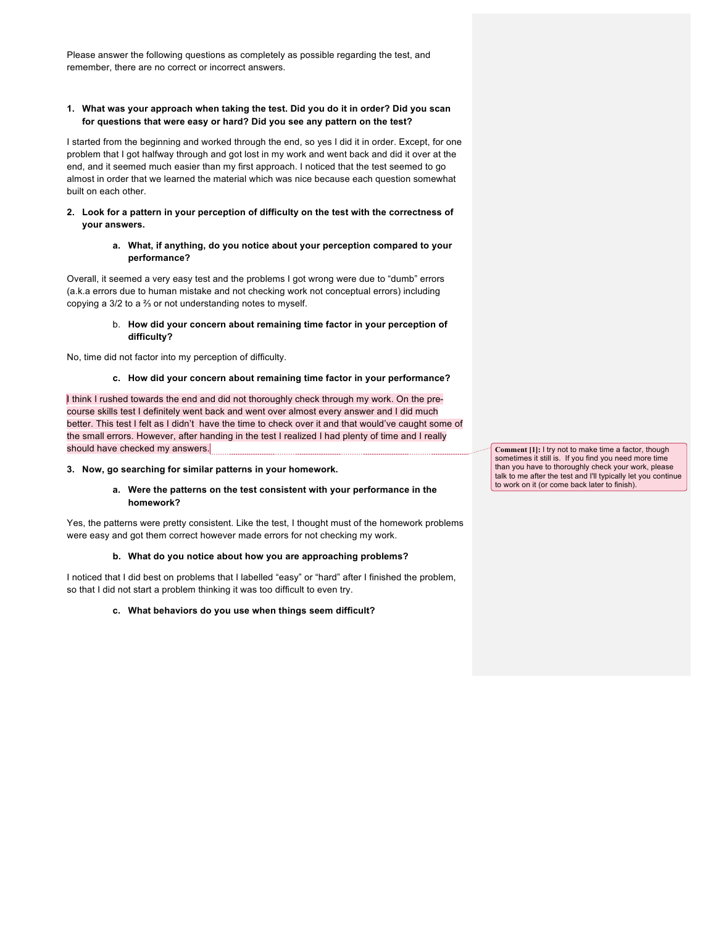Please answer the following questions as completely as possible regarding the test, and remember, there are no correct or incorrect answers.

# **1. What was your approach when taking the test. Did you do it in order? Did you scan for questions that were easy or hard? Did you see any pattern on the test?**

I started from the beginning and worked through the end, so yes I did it in order. Except, for one problem that I got halfway through and got lost in my work and went back and did it over at the end, and it seemed much easier than my first approach. I noticed that the test seemed to go almost in order that we learned the material which was nice because each question somewhat built on each other.

### **2. Look for a pattern in your perception of difficulty on the test with the correctness of your answers.**

### **a. What, if anything, do you notice about your perception compared to your performance?**

Overall, it seemed a very easy test and the problems I got wrong were due to "dumb" errors (a.k.a errors due to human mistake and not checking work not conceptual errors) including copying a 3/2 to a ⅔ or not understanding notes to myself.

### b. **How did your concern about remaining time factor in your perception of difficulty?**

No, time did not factor into my perception of difficulty.

# **c. How did your concern about remaining time factor in your performance?**

I think I rushed towards the end and did not thoroughly check through my work. On the precourse skills test I definitely went back and went over almost every answer and I did much better. This test I felt as I didn't have the time to check over it and that would've caught some of the small errors. However, after handing in the test I realized I had plenty of time and I really should have checked my answers.

**3. Now, go searching for similar patterns in your homework.** 

# **a. Were the patterns on the test consistent with your performance in the homework?**

Yes, the patterns were pretty consistent. Like the test, I thought must of the homework problems were easy and got them correct however made errors for not checking my work.

# **b. What do you notice about how you are approaching problems?**

I noticed that I did best on problems that I labelled "easy" or "hard" after I finished the problem, so that I did not start a problem thinking it was too difficult to even try.

# **c. What behaviors do you use when things seem difficult?**

**Comment [1]:** I try not to make time a factor, though sometimes it still is. If you find you need more time than you have to thoroughly check your work, please talk to me after the test and I'll typically let you continue to work on it (or come back later to finish).